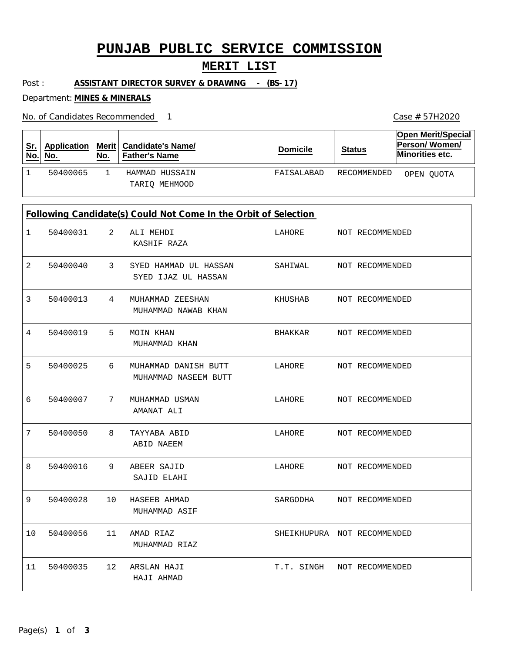# **PUNJAB PUBLIC SERVICE COMMISSION**

### **MERIT LIST**

Post : **ASSISTANT DIRECTOR SURVEY & DRAWING - (BS-17)**

Department: **MINES & MINERALS**

No. of Candidates Recommended 1

| <u>Sr.</u><br>No.                                               | <b>Application</b><br>No. | Merit $ $<br>No. | <b>Candidate's Name/</b><br><b>Father's Name</b> | <b>Domicile</b> | <b>Status</b>               | <b>Open Merit/Special</b><br>Person/Women/<br>Minorities etc. |  |  |  |
|-----------------------------------------------------------------|---------------------------|------------------|--------------------------------------------------|-----------------|-----------------------------|---------------------------------------------------------------|--|--|--|
| $\mathbf 1$                                                     | 50400065                  | $\mathbf{1}$     | HAMMAD HUSSAIN<br>TARIQ MEHMOOD                  | FAISALABAD      | RECOMMENDED                 | OPEN QUOTA                                                    |  |  |  |
| Following Candidate(s) Could Not Come In the Orbit of Selection |                           |                  |                                                  |                 |                             |                                                               |  |  |  |
| 1                                                               | 50400031                  | 2                | ALI MEHDI<br>KASHIF RAZA                         | LAHORE          | NOT RECOMMENDED             |                                                               |  |  |  |
| 2                                                               | 50400040                  | 3                | SYED HAMMAD UL HASSAN<br>SYED IJAZ UL HASSAN     | SAHIWAL         | NOT RECOMMENDED             |                                                               |  |  |  |
| 3                                                               | 50400013                  | 4                | MUHAMMAD ZEESHAN<br>MUHAMMAD NAWAB KHAN          | KHUSHAB         | NOT RECOMMENDED             |                                                               |  |  |  |
| 4                                                               | 50400019                  | 5                | MOIN KHAN<br>MUHAMMAD KHAN                       | BHAKKAR         | NOT RECOMMENDED             |                                                               |  |  |  |
| 5                                                               | 50400025                  | 6                | MUHAMMAD DANISH BUTT<br>MUHAMMAD NASEEM BUTT     | LAHORE          | NOT RECOMMENDED             |                                                               |  |  |  |
| 6                                                               | 50400007                  | 7                | MUHAMMAD USMAN<br>AMANAT ALI                     | LAHORE          | NOT RECOMMENDED             |                                                               |  |  |  |
| 7                                                               | 50400050                  | 8                | TAYYABA ABID<br>ABID NAEEM                       | LAHORE          | NOT RECOMMENDED             |                                                               |  |  |  |
| 8                                                               | 50400016                  | 9                | ABEER SAJID<br>SAJID ELAHI                       | LAHORE          | NOT RECOMMENDED             |                                                               |  |  |  |
| 9                                                               | 50400028                  | 10               | HASEEB AHMAD<br>MUHAMMAD ASIF                    | SARGODHA        | NOT RECOMMENDED             |                                                               |  |  |  |
| 10                                                              | 50400056                  | 11               | AMAD RIAZ<br>MUHAMMAD RIAZ                       |                 | SHEIKHUPURA NOT RECOMMENDED |                                                               |  |  |  |
| 11                                                              | 50400035                  | 12               | ARSLAN HAJI<br>HAJI AHMAD                        | T.T. SINGH      | NOT RECOMMENDED             |                                                               |  |  |  |

Case # 57H2020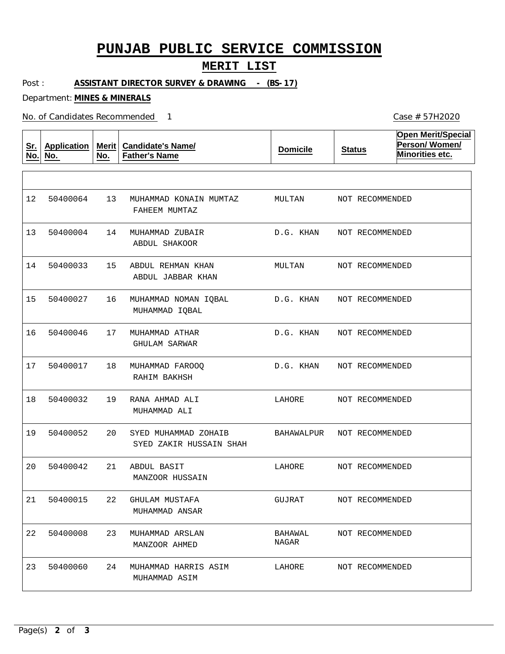## **PUNJAB PUBLIC SERVICE COMMISSION**

#### **MERIT LIST**

Post : **ASSISTANT DIRECTOR SURVEY & DRAWING - (BS-17)**

Department: **MINES & MINERALS**

No. of Candidates Recommended

**Sr. No. Application No. Merit No. Candidate's Name/ Father's Name Domicile Status Open Merit/Special Person/ Women/ Minorities etc.** 13 14 15 16 17 18 19 20 21 22 23 24 MUHAMMAD KONAIN MUMTAZ MUHAMMAD ZUBAIR ABDUL REHMAN KHAN MUHAMMAD NOMAN IQBAL MUHAMMAD ATHAR MUHAMMAD FAROOQ RANA AHMAD ALI SYED MUHAMMAD ZOHAIB ABDUL BASIT GHULAM MUSTAFA MUHAMMAD ARSLAN MUHAMMAD HARRIS ASIM FAHEEM MUMTAZ ABDUL SHAKOOR ABDUL JABBAR KHAN MUHAMMAD IQBAL GHULAM SARWAR RAHIM BAKHSH MUHAMMAD ALI SYED ZAKIR HUSSAIN SHAH MANZOOR HUSSAIN MUHAMMAD ANSAR MANZOOR AHMED MUHAMMAD ASIM 12 13 50400004 14 15 16 17 18 19 20 21 22 50400008 23 50400064 50400033 50400027 50400046 50400017 50400032 50400052 50400042 50400015 50400060 MULTAN D.G. KHAN MULTAN D.G. KHAN D.G. KHAN D.G. KHAN LAHORE BAHAWALPUR LAHORE GUJRAT BAHAWAL NAGAR LAHORE NOT RECOMMENDED NOT RECOMMENDED NOT RECOMMENDED NOT RECOMMENDED NOT RECOMMENDED NOT RECOMMENDED NOT RECOMMENDED NOT RECOMMENDED NOT RECOMMENDED NOT RECOMMENDED NOT RECOMMENDED NOT RECOMMENDED

Case # 57H2020